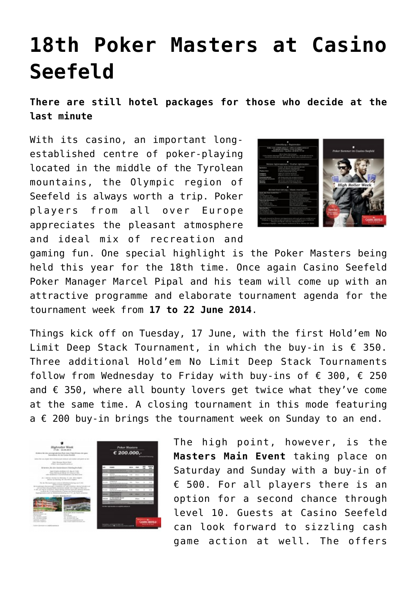## **[18th Poker Masters at Casino](https://www.isa-guide.de/english-news/articles/111498.html) [Seefeld](https://www.isa-guide.de/english-news/articles/111498.html)**

**There are still hotel packages for those who decide at the last minute**

With its casino, an important longestablished centre of poker-playing located in the middle of the Tyrolean mountains, the Olympic region of Seefeld is always worth a trip. Poker players from all over Europe appreciates the pleasant atmosphere and ideal mix of recreation and



gaming fun. One special highlight is the Poker Masters being held this year for the 18th time. Once again Casino Seefeld Poker Manager Marcel Pipal and his team will come up with an attractive programme and elaborate tournament agenda for the tournament week from **17 to 22 June 2014**.

Things kick off on Tuesday, 17 June, with the first Hold'em No Limit Deep Stack Tournament, in which the buy-in is  $\epsilon$  350. Three additional Hold'em No Limit Deep Stack Tournaments follow from Wednesday to Friday with buy-ins of  $\epsilon$  300,  $\epsilon$  250 and  $\epsilon$  350, where all bounty lovers get twice what they've come at the same time. A closing tournament in this mode featuring  $a \in 200$  buy-in brings the tournament week on Sunday to an end.



The high point, however, is the **Masters Main Event** taking place on Saturday and Sunday with a buy-in of € 500. For all players there is an option for a second chance through level 10. Guests at Casino Seefeld can look forward to sizzling cash game action at well. The offers